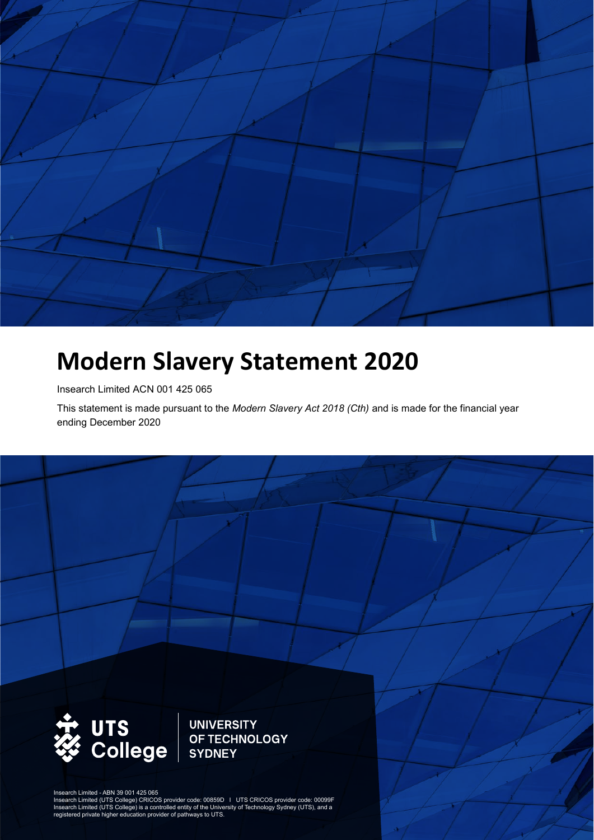

# **Modern Slavery Statement 2020**

Insearch Limited ACN 001 425 065

This statement is made pursuant to the *Modern Slavery Act 2018 (Cth)* and is made for the financial year ending December 2020



**UNIVERSITY** OF TECHNOLOGY **SYDNEY** 

Insearch Limited - ABN 39 001 425 065

Insearch Limited (UTS College) CRICOS provider code: 00859D I UTS CRICOS provider code: 00099F<br>Insearch Limited (UTS College) is a controlled entity of the University of Technology Sydney (UTS), and a<br>registered private hi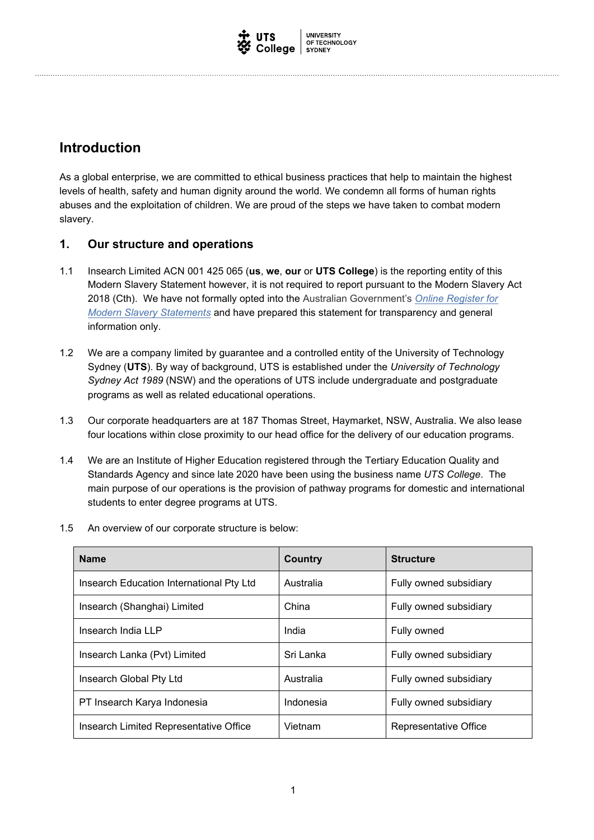

### **Introduction**

As a global enterprise, we are committed to ethical business practices that help to maintain the highest levels of health, safety and human dignity around the world. We condemn all forms of human rights abuses and the exploitation of children. We are proud of the steps we have taken to combat modern slavery.

### **1. Our structure and operations**

- 1.1 Insearch Limited ACN 001 425 065 (**us**, **we**, **our** or **UTS College**) is the reporting entity of this Modern Slavery Statement however, it is not required to report pursuant to the Modern Slavery Act 2018 (Cth). We have not formally opted into the Australian Government's *Online Register for Modern Slavery Statements* and have prepared this statement for transparency and general information only.
- 1.2 We are a company limited by guarantee and a controlled entity of the University of Technology Sydney (**UTS**). By way of background, UTS is established under the *University of Technology Sydney Act 1989* (NSW) and the operations of UTS include undergraduate and postgraduate programs as well as related educational operations.
- 1.3 Our corporate headquarters are at 187 Thomas Street, Haymarket, NSW, Australia. We also lease four locations within close proximity to our head office for the delivery of our education programs.
- 1.4 We are an Institute of Higher Education registered through the Tertiary Education Quality and Standards Agency and since late 2020 have been using the business name *UTS College*. The main purpose of our operations is the provision of pathway programs for domestic and international students to enter degree programs at UTS.

| 1.5 An overview of our corporate structure is below: |  |
|------------------------------------------------------|--|
|                                                      |  |

| <b>Name</b>                              | Country   | <b>Structure</b>       |
|------------------------------------------|-----------|------------------------|
| Insearch Education International Pty Ltd | Australia | Fully owned subsidiary |
| Insearch (Shanghai) Limited              | China     | Fully owned subsidiary |
| Insearch India LLP                       | India     | Fully owned            |
| Insearch Lanka (Pvt) Limited             | Sri Lanka | Fully owned subsidiary |
| Insearch Global Pty Ltd                  | Australia | Fully owned subsidiary |
| PT Insearch Karya Indonesia              | Indonesia | Fully owned subsidiary |
| Insearch Limited Representative Office   | Vietnam   | Representative Office  |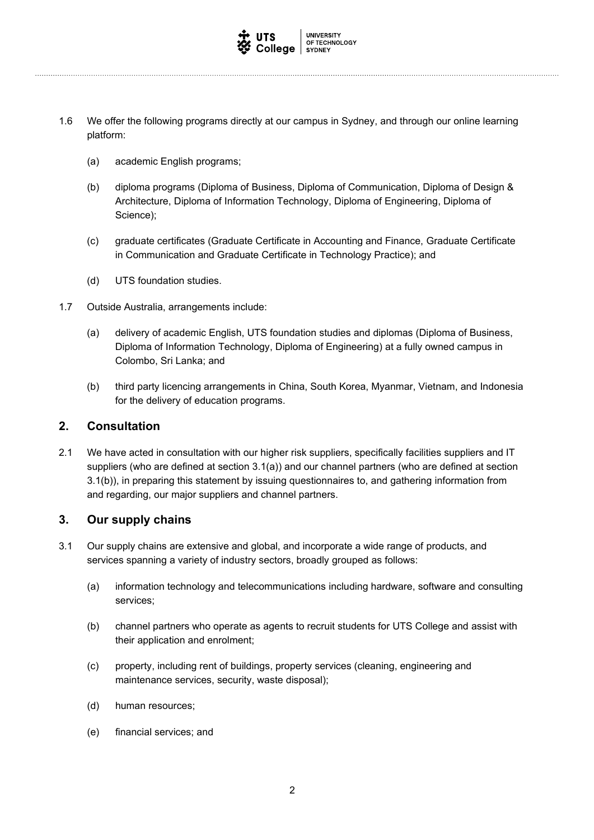

- 1.6 We offer the following programs directly at our campus in Sydney, and through our online learning platform:
	- (a) academic English programs;
	- (b) diploma programs (Diploma of Business, Diploma of Communication, Diploma of Design & Architecture, Diploma of Information Technology, Diploma of Engineering, Diploma of Science);
	- (c) graduate certificates (Graduate Certificate in Accounting and Finance, Graduate Certificate in Communication and Graduate Certificate in Technology Practice); and
	- (d) UTS foundation studies.
- 1.7 Outside Australia, arrangements include:
	- (a) delivery of academic English, UTS foundation studies and diplomas (Diploma of Business, Diploma of Information Technology, Diploma of Engineering) at a fully owned campus in Colombo, Sri Lanka; and
	- (b) third party licencing arrangements in China, South Korea, Myanmar, Vietnam, and Indonesia for the delivery of education programs.

### **2. Consultation**

2.1 We have acted in consultation with our higher risk suppliers, specifically facilities suppliers and IT suppliers (who are defined at section 3.1(a)) and our channel partners (who are defined at section 3.1(b)), in preparing this statement by issuing questionnaires to, and gathering information from and regarding, our major suppliers and channel partners.

### **3. Our supply chains**

- 3.1 Our supply chains are extensive and global, and incorporate a wide range of products, and services spanning a variety of industry sectors, broadly grouped as follows:
	- (a) information technology and telecommunications including hardware, software and consulting services;
	- (b) channel partners who operate as agents to recruit students for UTS College and assist with their application and enrolment;
	- (c) property, including rent of buildings, property services (cleaning, engineering and maintenance services, security, waste disposal);
	- (d) human resources;
	- (e) financial services; and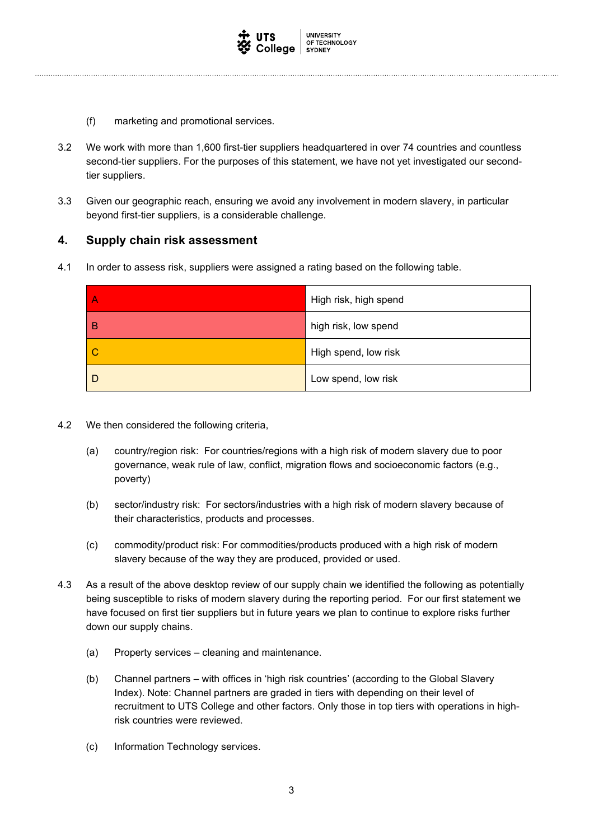

- (f) marketing and promotional services.
- 3.2 We work with more than 1,600 first-tier suppliers headquartered in over 74 countries and countless second-tier suppliers. For the purposes of this statement, we have not yet investigated our secondtier suppliers.
- 3.3 Given our geographic reach, ensuring we avoid any involvement in modern slavery, in particular beyond first-tier suppliers, is a considerable challenge.

### **4. Supply chain risk assessment**

4.1 In order to assess risk, suppliers were assigned a rating based on the following table.

|   | High risk, high spend |
|---|-----------------------|
| в | high risk, low spend  |
| C | High spend, low risk  |
|   | Low spend, low risk   |

- 4.2 We then considered the following criteria,
	- (a) country/region risk: For countries/regions with a high risk of modern slavery due to poor governance, weak rule of law, conflict, migration flows and socioeconomic factors (e.g., poverty)
	- (b) sector/industry risk: For sectors/industries with a high risk of modern slavery because of their characteristics, products and processes.
	- (c) commodity/product risk: For commodities/products produced with a high risk of modern slavery because of the way they are produced, provided or used.
- 4.3 As a result of the above desktop review of our supply chain we identified the following as potentially being susceptible to risks of modern slavery during the reporting period. For our first statement we have focused on first tier suppliers but in future years we plan to continue to explore risks further down our supply chains.
	- (a) Property services cleaning and maintenance.
	- (b) Channel partners with offices in 'high risk countries' (according to the Global Slavery Index). Note: Channel partners are graded in tiers with depending on their level of recruitment to UTS College and other factors. Only those in top tiers with operations in highrisk countries were reviewed.
	- (c) Information Technology services.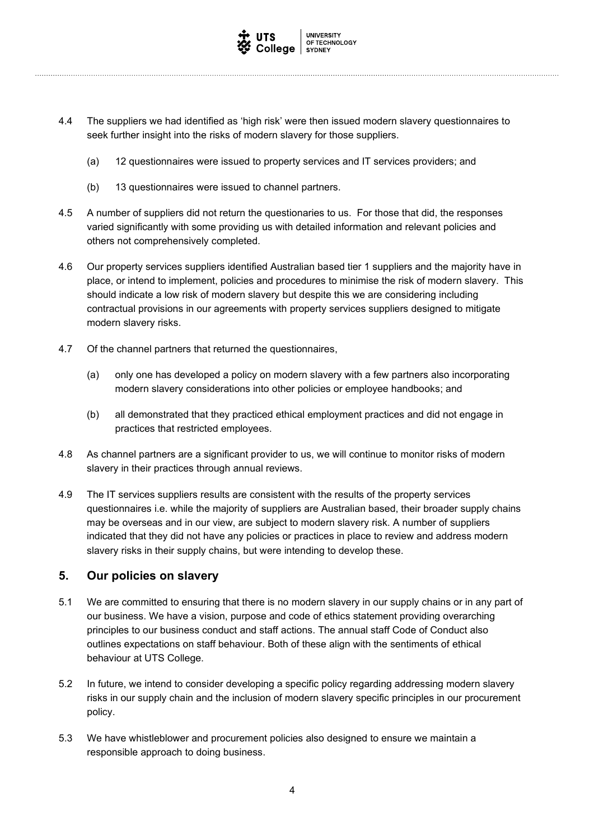

- 4.4 The suppliers we had identified as 'high risk' were then issued modern slavery questionnaires to seek further insight into the risks of modern slavery for those suppliers.
	- (a) 12 questionnaires were issued to property services and IT services providers; and
	- (b) 13 questionnaires were issued to channel partners.
- 4.5 A number of suppliers did not return the questionaries to us. For those that did, the responses varied significantly with some providing us with detailed information and relevant policies and others not comprehensively completed.
- 4.6 Our property services suppliers identified Australian based tier 1 suppliers and the majority have in place, or intend to implement, policies and procedures to minimise the risk of modern slavery. This should indicate a low risk of modern slavery but despite this we are considering including contractual provisions in our agreements with property services suppliers designed to mitigate modern slavery risks.
- 4.7 Of the channel partners that returned the questionnaires,
	- (a) only one has developed a policy on modern slavery with a few partners also incorporating modern slavery considerations into other policies or employee handbooks; and
	- (b) all demonstrated that they practiced ethical employment practices and did not engage in practices that restricted employees.
- 4.8 As channel partners are a significant provider to us, we will continue to monitor risks of modern slavery in their practices through annual reviews.
- 4.9 The IT services suppliers results are consistent with the results of the property services questionnaires i.e. while the majority of suppliers are Australian based, their broader supply chains may be overseas and in our view, are subject to modern slavery risk. A number of suppliers indicated that they did not have any policies or practices in place to review and address modern slavery risks in their supply chains, but were intending to develop these.

### **5. Our policies on slavery**

- 5.1 We are committed to ensuring that there is no modern slavery in our supply chains or in any part of our business. We have a vision, purpose and code of ethics statement providing overarching principles to our business conduct and staff actions. The annual staff Code of Conduct also outlines expectations on staff behaviour. Both of these align with the sentiments of ethical behaviour at UTS College.
- 5.2 In future, we intend to consider developing a specific policy regarding addressing modern slavery risks in our supply chain and the inclusion of modern slavery specific principles in our procurement policy.
- 5.3 We have whistleblower and procurement policies also designed to ensure we maintain a responsible approach to doing business.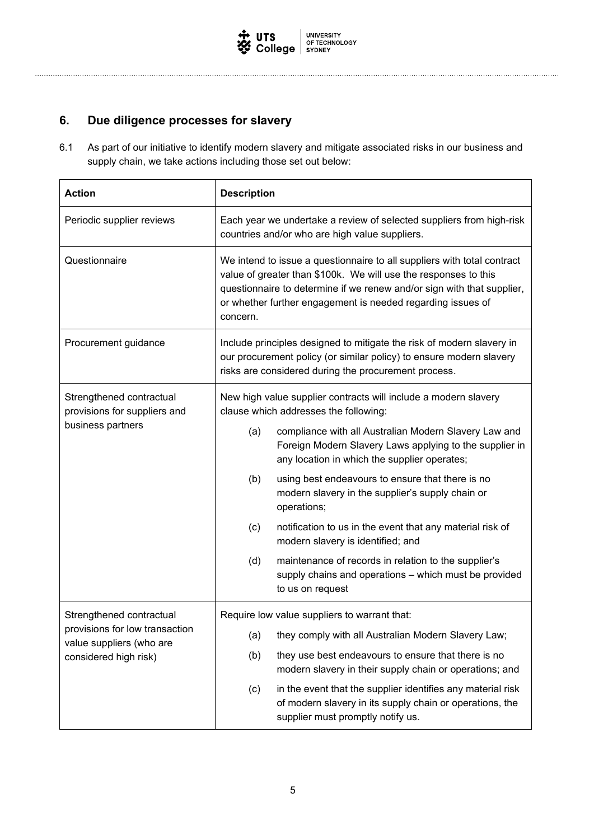

## **6. Due diligence processes for slavery**

6.1 As part of our initiative to identify modern slavery and mitigate associated risks in our business and supply chain, we take actions including those set out below:

| <b>Action</b>                                              | <b>Description</b>                                                                                                                                                                                                                                                                              |  |  |
|------------------------------------------------------------|-------------------------------------------------------------------------------------------------------------------------------------------------------------------------------------------------------------------------------------------------------------------------------------------------|--|--|
| Periodic supplier reviews                                  | Each year we undertake a review of selected suppliers from high-risk<br>countries and/or who are high value suppliers.                                                                                                                                                                          |  |  |
| Questionnaire                                              | We intend to issue a questionnaire to all suppliers with total contract<br>value of greater than \$100k. We will use the responses to this<br>questionnaire to determine if we renew and/or sign with that supplier,<br>or whether further engagement is needed regarding issues of<br>concern. |  |  |
| Procurement guidance                                       | Include principles designed to mitigate the risk of modern slavery in<br>our procurement policy (or similar policy) to ensure modern slavery<br>risks are considered during the procurement process.                                                                                            |  |  |
| Strengthened contractual<br>provisions for suppliers and   | New high value supplier contracts will include a modern slavery<br>clause which addresses the following:                                                                                                                                                                                        |  |  |
| business partners                                          | compliance with all Australian Modern Slavery Law and<br>(a)<br>Foreign Modern Slavery Laws applying to the supplier in<br>any location in which the supplier operates;                                                                                                                         |  |  |
|                                                            | (b)<br>using best endeavours to ensure that there is no<br>modern slavery in the supplier's supply chain or<br>operations;                                                                                                                                                                      |  |  |
|                                                            | (c)<br>notification to us in the event that any material risk of<br>modern slavery is identified; and                                                                                                                                                                                           |  |  |
|                                                            | (d)<br>maintenance of records in relation to the supplier's<br>supply chains and operations - which must be provided<br>to us on request                                                                                                                                                        |  |  |
| Strengthened contractual                                   | Require low value suppliers to warrant that:                                                                                                                                                                                                                                                    |  |  |
| provisions for low transaction<br>value suppliers (who are | they comply with all Australian Modern Slavery Law;<br>(a)                                                                                                                                                                                                                                      |  |  |
| considered high risk)                                      | they use best endeavours to ensure that there is no<br>(b)<br>modern slavery in their supply chain or operations; and                                                                                                                                                                           |  |  |
|                                                            | in the event that the supplier identifies any material risk<br>(c)<br>of modern slavery in its supply chain or operations, the<br>supplier must promptly notify us.                                                                                                                             |  |  |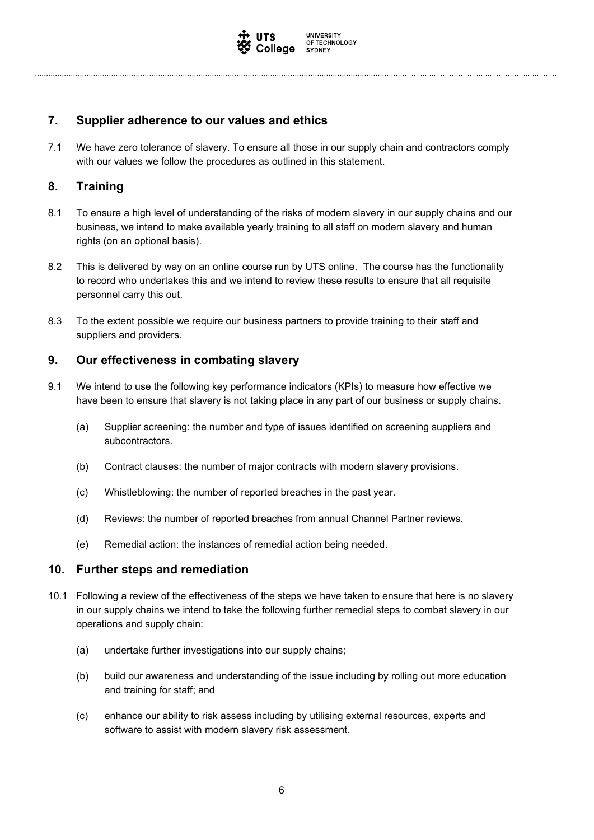

### **7. Supplier adherence to our values and ethics**

7.1 We have zero tolerance of slavery. To ensure all those in our supply chain and contractors comply with our values we follow the procedures as outlined in this statement.

### **8. Training**

- 8.1 To ensure a high level of understanding of the risks of modern slavery in our supply chains and our business, we intend to make available yearly training to all staff on modern slavery and human rights (on an optional basis).
- 8.2 This is delivered by way on an online course run by UTS online. The course has the functionality to record who undertakes this and we intend to review these results to ensure that all requisite personnel carry this out.
- 8.3 To the extent possible we require our business partners to provide training to their staff and suppliers and providers.

### **9. Our effectiveness in combating slavery**

- 9.1 We intend to use the following key performance indicators (KPIs) to measure how effective we have been to ensure that slavery is not taking place in any part of our business or supply chains.
	- (a) Supplier screening: the number and type of issues identified on screening suppliers and subcontractors.
	- (b) Contract clauses: the number of major contracts with modern slavery provisions.
	- (c) Whistleblowing: the number of reported breaches in the past year.
	- (d) Reviews: the number of reported breaches from annual Channel Partner reviews.
	- (e) Remedial action: the instances of remedial action being needed.

### **10. Further steps and remediation**

- 10.1 Following a review of the effectiveness of the steps we have taken to ensure that here is no slavery in our supply chains we intend to take the following further remedial steps to combat slavery in our operations and supply chain:
	- (a) undertake further investigations into our supply chains;
	- (b) build our awareness and understanding of the issue including by rolling out more education and training for staff; and
	- (c) enhance our ability to risk assess including by utilising external resources, experts and software to assist with modern slavery risk assessment.